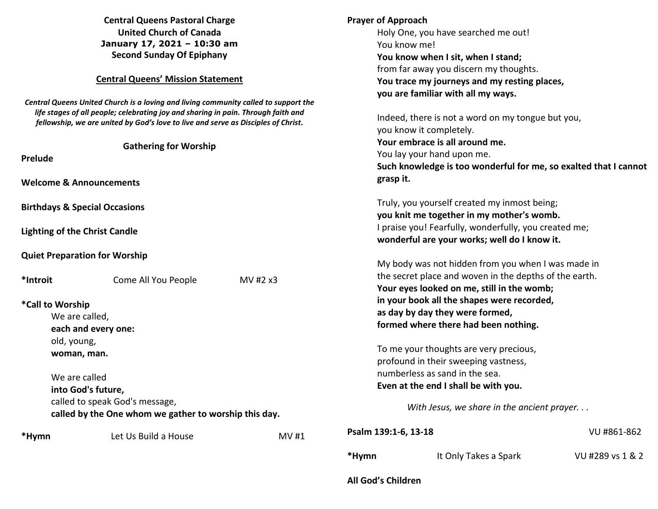| *Hymn                                                                                                                                                                                                  | Let Us Build a House           | <b>MV#1</b>                         | Psalm 139:1-6, 13-18<br>*Hymn                                                                                | It Only Takes a Spark                             | VU #861-862<br>VU #289 vs 1 & 2 |
|--------------------------------------------------------------------------------------------------------------------------------------------------------------------------------------------------------|--------------------------------|-------------------------------------|--------------------------------------------------------------------------------------------------------------|---------------------------------------------------|---------------------------------|
| called by the One whom we gather to worship this day.                                                                                                                                                  |                                |                                     | With Jesus, we share in the ancient prayer                                                                   |                                                   |                                 |
|                                                                                                                                                                                                        | called to speak God's message, |                                     |                                                                                                              |                                                   |                                 |
| into God's future,                                                                                                                                                                                     |                                |                                     | Even at the end I shall be with you.                                                                         |                                                   |                                 |
| We are called                                                                                                                                                                                          |                                |                                     | numberless as sand in the sea.                                                                               |                                                   |                                 |
|                                                                                                                                                                                                        |                                |                                     | profound in their sweeping vastness,                                                                         |                                                   |                                 |
| woman, man.                                                                                                                                                                                            |                                |                                     | To me your thoughts are very precious,                                                                       |                                                   |                                 |
| old, young,                                                                                                                                                                                            |                                |                                     |                                                                                                              |                                                   |                                 |
| We are called,<br>each and every one:                                                                                                                                                                  |                                |                                     |                                                                                                              | formed where there had been nothing.              |                                 |
| *Call to Worship                                                                                                                                                                                       |                                |                                     | as day by day they were formed,                                                                              |                                                   |                                 |
|                                                                                                                                                                                                        |                                |                                     |                                                                                                              | in your book all the shapes were recorded,        |                                 |
| *Introit                                                                                                                                                                                               | Come All You People            | MV #2 x3                            |                                                                                                              | Your eyes looked on me, still in the womb;        |                                 |
|                                                                                                                                                                                                        |                                |                                     | My body was not hidden from you when I was made in<br>the secret place and woven in the depths of the earth. |                                                   |                                 |
| <b>Quiet Preparation for Worship</b>                                                                                                                                                                   |                                |                                     |                                                                                                              |                                                   |                                 |
|                                                                                                                                                                                                        |                                |                                     |                                                                                                              | wonderful are your works; well do I know it.      |                                 |
| <b>Lighting of the Christ Candle</b>                                                                                                                                                                   |                                |                                     | I praise you! Fearfully, wonderfully, you created me;                                                        |                                                   |                                 |
|                                                                                                                                                                                                        |                                |                                     |                                                                                                              | you knit me together in my mother's womb.         |                                 |
| <b>Birthdays &amp; Special Occasions</b>                                                                                                                                                               |                                |                                     | Truly, you yourself created my inmost being;                                                                 |                                                   |                                 |
| <b>Welcome &amp; Announcements</b>                                                                                                                                                                     |                                |                                     |                                                                                                              |                                                   |                                 |
|                                                                                                                                                                                                        |                                |                                     | grasp it.                                                                                                    |                                                   |                                 |
| <b>Prelude</b>                                                                                                                                                                                         |                                |                                     | You lay your hand upon me.<br>Such knowledge is too wonderful for me, so exalted that I cannot               |                                                   |                                 |
| life stages of all people; celebrating joy and sharing in pain. Through faith and<br>fellowship, we are united by God's love to live and serve as Disciples of Christ.<br><b>Gathering for Worship</b> |                                |                                     | Your embrace is all around me.                                                                               |                                                   |                                 |
|                                                                                                                                                                                                        |                                |                                     | you know it completely.                                                                                      |                                                   |                                 |
|                                                                                                                                                                                                        |                                |                                     |                                                                                                              | Indeed, there is not a word on my tongue but you, |                                 |
| Central Queens United Church is a loving and living community called to support the                                                                                                                    |                                |                                     |                                                                                                              | you are familiar with all my ways.                |                                 |
| <b>Central Queens' Mission Statement</b>                                                                                                                                                               |                                |                                     | You trace my journeys and my resting places,                                                                 |                                                   |                                 |
|                                                                                                                                                                                                        |                                |                                     | from far away you discern my thoughts.                                                                       |                                                   |                                 |
| <b>Second Sunday Of Epiphany</b>                                                                                                                                                                       |                                |                                     | You know when I sit, when I stand;                                                                           |                                                   |                                 |
| January 17, 2021 - 10:30 am                                                                                                                                                                            |                                | You know me!                        |                                                                                                              |                                                   |                                 |
| <b>United Church of Canada</b>                                                                                                                                                                         |                                | Holy One, you have searched me out! |                                                                                                              |                                                   |                                 |
| <b>Central Queens Pastoral Charge</b>                                                                                                                                                                  |                                |                                     | <b>Prayer of Approach</b>                                                                                    |                                                   |                                 |
|                                                                                                                                                                                                        |                                |                                     |                                                                                                              |                                                   |                                 |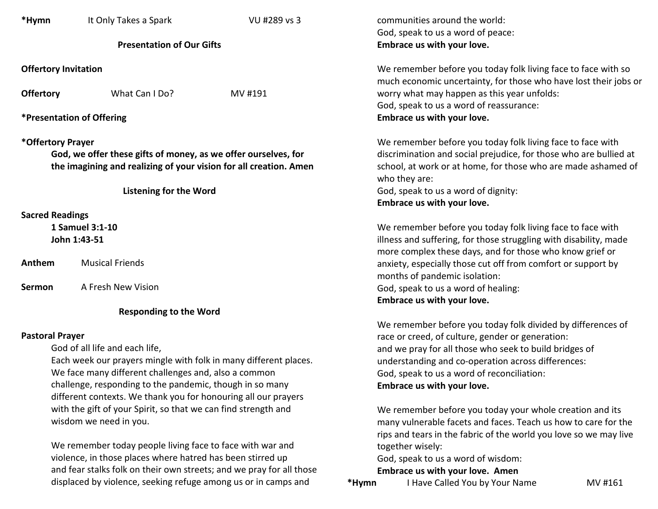| *Hymn                                                                                                                                                                                                                                            | It Only Takes a Spark  | VU #289 vs 3 |  |  |  |  |  |
|--------------------------------------------------------------------------------------------------------------------------------------------------------------------------------------------------------------------------------------------------|------------------------|--------------|--|--|--|--|--|
| <b>Presentation of Our Gifts</b>                                                                                                                                                                                                                 |                        |              |  |  |  |  |  |
| <b>Offertory Invitation</b>                                                                                                                                                                                                                      |                        |              |  |  |  |  |  |
| <b>Offertory</b>                                                                                                                                                                                                                                 | What Can I Do?         | MV #191      |  |  |  |  |  |
| <b>*Presentation of Offering</b>                                                                                                                                                                                                                 |                        |              |  |  |  |  |  |
| *Offertory Prayer<br>God, we offer these gifts of money, as we offer ourselves, for<br>the imagining and realizing of your vision for all creation. Amen                                                                                         |                        |              |  |  |  |  |  |
| Listening for the Word                                                                                                                                                                                                                           |                        |              |  |  |  |  |  |
| <b>Sacred Readings</b><br>1 Samuel 3:1-10<br>John 1:43-51                                                                                                                                                                                        |                        |              |  |  |  |  |  |
| Anthem                                                                                                                                                                                                                                           | <b>Musical Friends</b> |              |  |  |  |  |  |
| <b>Sermon</b>                                                                                                                                                                                                                                    | A Fresh New Vision     |              |  |  |  |  |  |
| <b>Responding to the Word</b>                                                                                                                                                                                                                    |                        |              |  |  |  |  |  |
| <b>Pastoral Prayer</b><br>God of all life and each life,<br>Each week our prayers mingle with folk in many different places.<br>We face many different challenges and, also a common<br>challenge, responding to the pandemic, though in so many |                        |              |  |  |  |  |  |

different contexts. We thank you for honouring all our prayers with the gift of your Spirit, so that we can find strength and wisdom we need in you.

 We remember today people living face to face with war and violence, in those places where hatred has been stirred up and fear stalks folk on their own streets; and we pray for all those displaced by violence, seeking refuge among us or in camps and

communities around the world: God, speak to us a word of peace:  **Embrace us with your love.** 

 We remember before you today folk living face to face with so much economic uncertainty, for those who have lost their jobs or worry what may happen as this year unfolds: God, speak to us a word of reassurance:  **Embrace us with your love.** 

 We remember before you today folk living face to face with discrimination and social prejudice, for those who are bullied at school, at work or at home, for those who are made ashamed of who they are: God, speak to us a word of dignity:  **Embrace us with your love.** 

 We remember before you today folk living face to face with illness and suffering, for those struggling with disability, made more complex these days, and for those who know grief or anxiety, especially those cut off from comfort or support by months of pandemic isolation: God, speak to us a word of healing:  **Embrace us with your love.** 

 We remember before you today folk divided by differences of race or creed, of culture, gender or generation: and we pray for all those who seek to build bridges of understanding and co-operation across differences: God, speak to us a word of reconciliation:  **Embrace us with your love.** 

We remember before you today your whole creation and its many vulnerable facets and faces. Teach us how to care for the rips and tears in the fabric of the world you love so we may live together wisely:

God, speak to us a word of wisdom:

 **Embrace us with your love. Amen** 

**\*Hymn** I Have Called You by Your Name MV #161